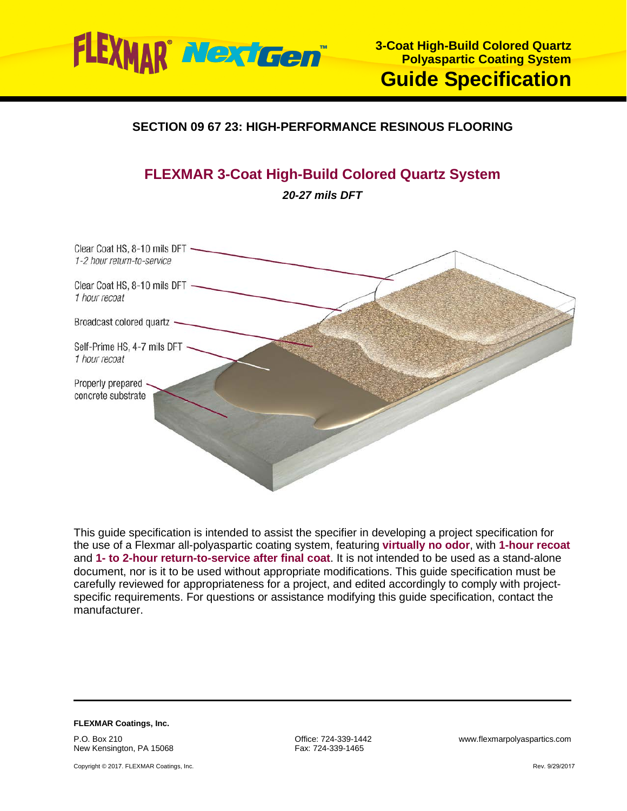

## **SECTION 09 67 23: HIGH-PERFORMANCE RESINOUS FLOORING**

# **FLEXMAR 3-Coat High-Build Colored Quartz System**

*20-27 mils DFT*



This guide specification is intended to assist the specifier in developing a project specification for the use of a Flexmar all-polyaspartic coating system, featuring **virtually no odor**, with **1-hour recoat** and **1- to 2-hour return-to-service after final coat**. It is not intended to be used as a stand-alone document, nor is it to be used without appropriate modifications. This guide specification must be carefully reviewed for appropriateness for a project, and edited accordingly to comply with projectspecific requirements. For questions or assistance modifying this guide specification, contact the manufacturer.

**FLEXMAR Coatings, Inc.** P.O. Box 210 New Kensington, PA 15068

Copyright © 2017. FLEXMAR Coatings, Inc.

Fax: 724-339-1465

Office: 724-339-1442 www.flexmarpolyaspartics.com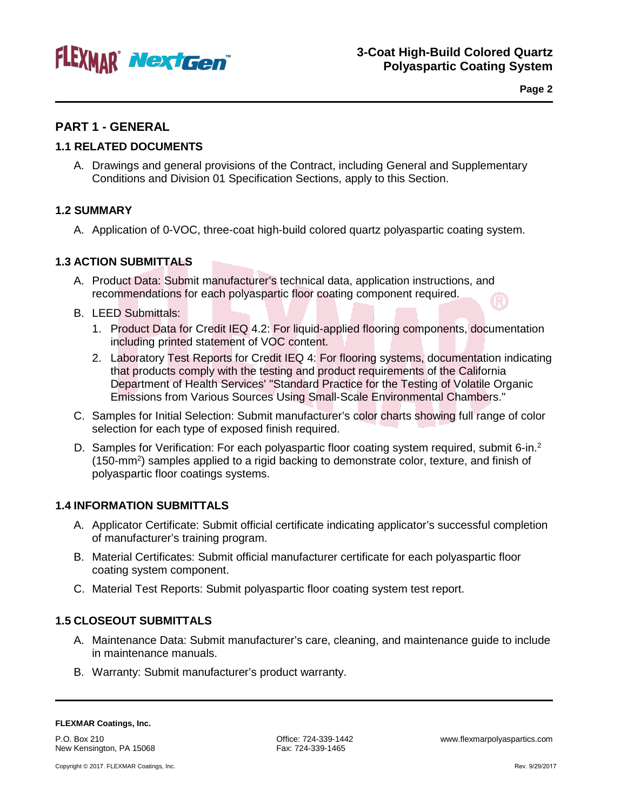

**Page 2**

## **PART 1 - GENERAL**

## **1.1 RELATED DOCUMENTS**

A. Drawings and general provisions of the Contract, including General and Supplementary Conditions and Division 01 Specification Sections, apply to this Section.

## **1.2 SUMMARY**

A. Application of 0-VOC, three-coat high-build colored quartz polyaspartic coating system.

## **1.3 ACTION SUBMITTALS**

- A. Product Data: Submit manufacturer's technical data, application instructions, and recommendations for each polyaspartic floor coating component required.
- B. LEED Submittals:
	- 1. Product Data for Credit IEQ 4.2: For liquid-applied flooring components, documentation including printed statement of VOC content.
	- 2. Laboratory Test Reports for Credit IEQ 4: For flooring systems, documentation indicating that products comply with the testing and product requirements of the California Department of Health Services' "Standard Practice for the Testing of Volatile Organic Emissions from Various Sources Using Small-Scale Environmental Chambers."
- C. Samples for Initial Selection: Submit manufacturer's color charts showing full range of color selection for each type of exposed finish required.
- D. Samples for Verification: For each polyaspartic floor coating system required, submit 6-in.<sup>2</sup> (150-mm<sup>2</sup>) samples applied to a rigid backing to demonstrate color, texture, and finish of polyaspartic floor coatings systems.

## **1.4 INFORMATION SUBMITTALS**

- A. Applicator Certificate: Submit official certificate indicating applicator's successful completion of manufacturer's training program.
- B. Material Certificates: Submit official manufacturer certificate for each polyaspartic floor coating system component.
- C. Material Test Reports: Submit polyaspartic floor coating system test report.

## **1.5 CLOSEOUT SUBMITTALS**

- A. Maintenance Data: Submit manufacturer's care, cleaning, and maintenance guide to include in maintenance manuals.
- B. Warranty: Submit manufacturer's product warranty.

P.O. Box 210 New Kensington, PA 15068 Fax: 724-339-1465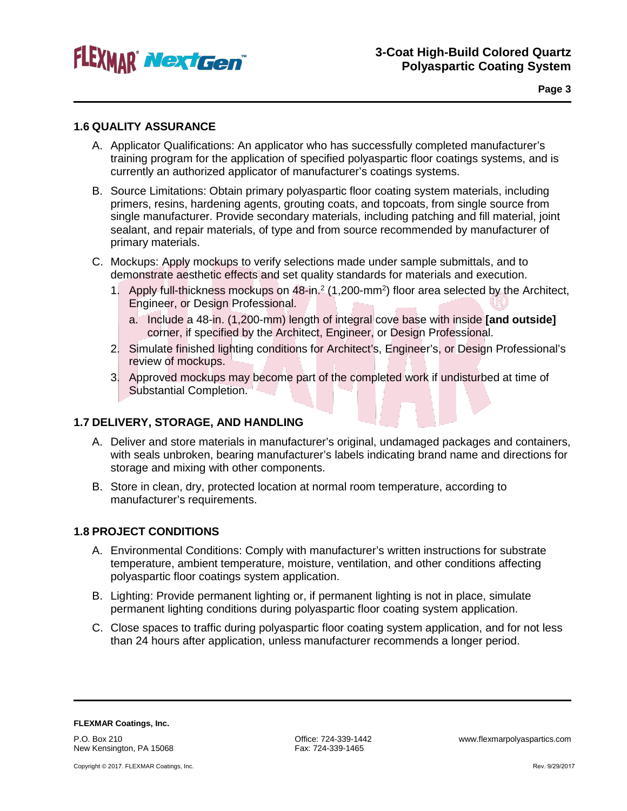

**Page 3**

## **1.6 QUALITY ASSURANCE**

- A. Applicator Qualifications: An applicator who has successfully completed manufacturer's training program for the application of specified polyaspartic floor coatings systems, and is currently an authorized applicator of manufacturer's coatings systems.
- B. Source Limitations: Obtain primary polyaspartic floor coating system materials, including primers, resins, hardening agents, grouting coats, and topcoats, from single source from single manufacturer. Provide secondary materials, including patching and fill material, joint sealant, and repair materials, of type and from source recommended by manufacturer of primary materials.
- C. Mockups: Apply mockups to verify selections made under sample submittals, and to demonstrate aesthetic effects and set quality standards for materials and execution.
	- 1. Apply full-thickness mockups on 48-in.<sup>2</sup> (1,200-mm<sup>2</sup>) floor area selected by the Architect, Engineer, or Design Professional.
		- a. Include a 48-in. (1,200-mm) length of integral cove base with inside **[and outside]** corner, if specified by the Architect, Engineer, or Design Professional.
	- 2. Simulate finished lighting conditions for Architect's, Engineer's, or Design Professional's review of mockups.
	- 3. Approved mockups may become part of the completed work if undisturbed at time of Substantial Completion.

## **1.7 DELIVERY, STORAGE, AND HANDLING**

- A. Deliver and store materials in manufacturer's original, undamaged packages and containers, with seals unbroken, bearing manufacturer's labels indicating brand name and directions for storage and mixing with other components.
- B. Store in clean, dry, protected location at normal room temperature, according to manufacturer's requirements.

## **1.8 PROJECT CONDITIONS**

- A. Environmental Conditions: Comply with manufacturer's written instructions for substrate temperature, ambient temperature, moisture, ventilation, and other conditions affecting polyaspartic floor coatings system application.
- B. Lighting: Provide permanent lighting or, if permanent lighting is not in place, simulate permanent lighting conditions during polyaspartic floor coating system application.
- C. Close spaces to traffic during polyaspartic floor coating system application, and for not less than 24 hours after application, unless manufacturer recommends a longer period.

**FLEXMAR Coatings, Inc.** P.O. Box 210 New Kensington, PA 15068

Fax: 724-339-1465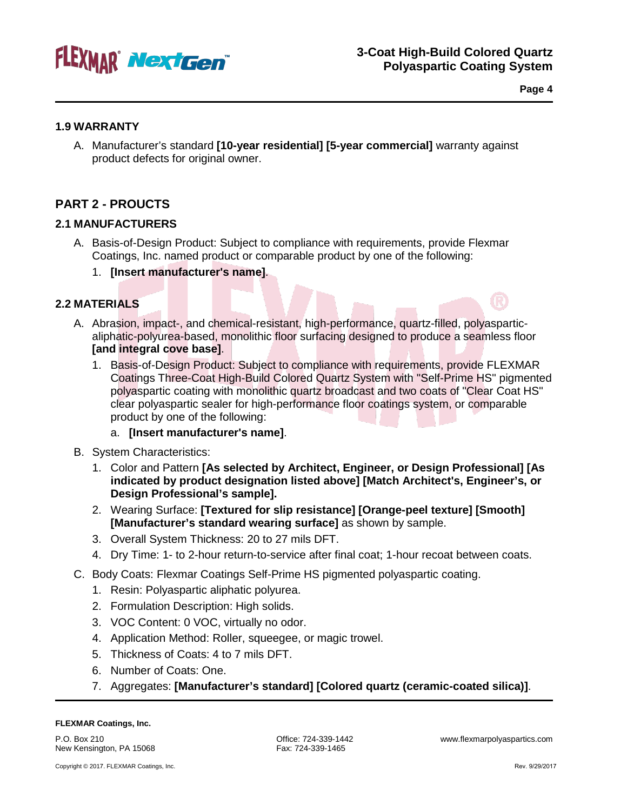

**Page 4**

## **1.9 WARRANTY**

A. Manufacturer's standard **[10-year residential] [5-year commercial]** warranty against product defects for original owner.

## **PART 2 - PROUCTS**

## **2.1 MANUFACTURERS**

- A. Basis-of-Design Product: Subject to compliance with requirements, provide Flexmar Coatings, Inc. named product or comparable product by one of the following:
	- 1. **[Insert manufacturer's name]**.

## **2.2 MATERIALS**

- A. Abrasion, impact-, and chemical-resistant, high-performance, quartz-filled, polyasparticaliphatic-polyurea-based, monolithic floor surfacing designed to produce a seamless floor **[and integral cove base]**.
	- 1. Basis-of-Design Product: Subject to compliance with requirements, provide FLEXMAR Coatings Three-Coat High-Build Colored Quartz System with "Self-Prime HS" pigmented polyaspartic coating with monolithic quartz broadcast and two coats of "Clear Coat HS" clear polyaspartic sealer for high-performance floor coatings system, or comparable product by one of the following:

## a. **[Insert manufacturer's name]**.

- B. System Characteristics:
	- 1. Color and Pattern **[As selected by Architect, Engineer, or Design Professional] [As indicated by product designation listed above] [Match Architect's, Engineer's, or Design Professional's sample].**
	- 2. Wearing Surface: **[Textured for slip resistance] [Orange-peel texture] [Smooth] [Manufacturer's standard wearing surface]** as shown by sample.
	- 3. Overall System Thickness: 20 to 27 mils DFT.
	- 4. Dry Time: 1- to 2-hour return-to-service after final coat; 1-hour recoat between coats.
- C. Body Coats: Flexmar Coatings Self-Prime HS pigmented polyaspartic coating.
	- 1. Resin: Polyaspartic aliphatic polyurea.
	- 2. Formulation Description: High solids.
	- 3. VOC Content: 0 VOC, virtually no odor.
	- 4. Application Method: Roller, squeegee, or magic trowel.
	- 5. Thickness of Coats: 4 to 7 mils DFT.
	- 6. Number of Coats: One.
	- 7. Aggregates: **[Manufacturer's standard] [Colored quartz (ceramic-coated silica)]**.

#### **FLEXMAR Coatings, Inc.**

P.O. Box 210 New Kensington, PA 15068 Office: 724-339-1442 www.flexmarpolyaspartics.com Fax: 724-339-1465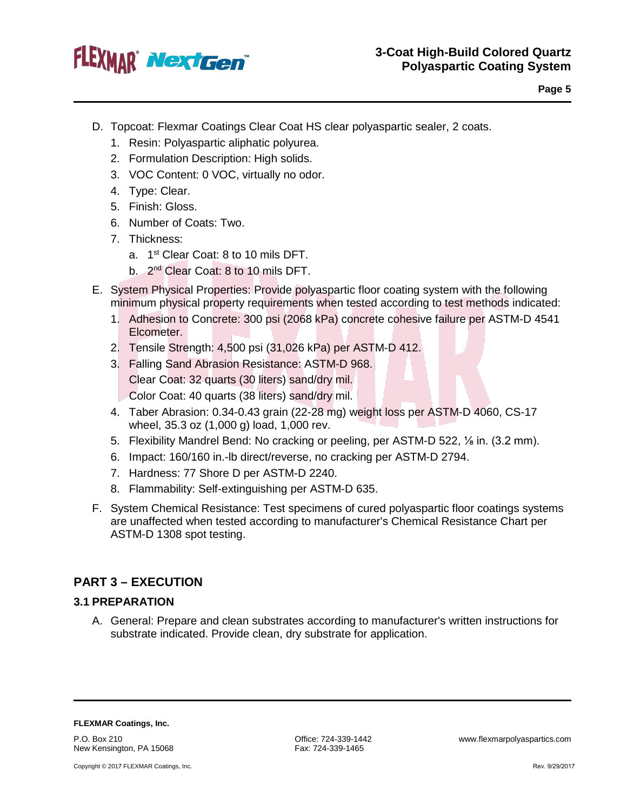

- D. Topcoat: Flexmar Coatings Clear Coat HS clear polyaspartic sealer, 2 coats.
	- 1. Resin: Polyaspartic aliphatic polyurea.
	- 2. Formulation Description: High solids.
	- 3. VOC Content: 0 VOC, virtually no odor.
	- 4. Type: Clear.
	- 5. Finish: Gloss.
	- 6. Number of Coats: Two.
	- 7. Thickness:
		- a. 1<sup>st</sup> Clear Coat: 8 to 10 mils DFT.
		- b. 2<sup>nd</sup> Clear Coat: 8 to 10 mils DFT.
- E. System Physical Properties: Provide polyaspartic floor coating system with the following minimum physical property requirements when tested according to test methods indicated:
	- 1. Adhesion to Concrete: 300 psi (2068 kPa) concrete cohesive failure per ASTM-D 4541 Elcometer.
	- 2. Tensile Strength: 4,500 psi (31,026 kPa) per ASTM-D 412.
	- 3. Falling Sand Abrasion Resistance: ASTM-D 968. Clear Coat: 32 quarts (30 liters) sand/dry mil. Color Coat: 40 quarts (38 liters) sand/dry mil.
	- 4. Taber Abrasion: 0.34-0.43 grain (22-28 mg) weight loss per ASTM-D 4060, CS-17 wheel, 35.3 oz (1,000 g) load, 1,000 rev.
	- 5. Flexibility Mandrel Bend: No cracking or peeling, per ASTM-D 522, ⅛ in. (3.2 mm).
	- 6. Impact: 160/160 in.-lb direct/reverse, no cracking per ASTM-D 2794.
	- 7. Hardness: 77 Shore D per ASTM-D 2240.
	- 8. Flammability: Self-extinguishing per ASTM-D 635.
- F. System Chemical Resistance: Test specimens of cured polyaspartic floor coatings systems are unaffected when tested according to manufacturer's Chemical Resistance Chart per ASTM-D 1308 spot testing.

## **PART 3 – EXECUTION**

## **3.1 PREPARATION**

A. General: Prepare and clean substrates according to manufacturer's written instructions for substrate indicated. Provide clean, dry substrate for application.

**FLEXMAR Coatings, Inc.**

P.O. Box 210 New Kensington, PA 15068

Copyright © 2017 FLEXMAR Coatings, Inc.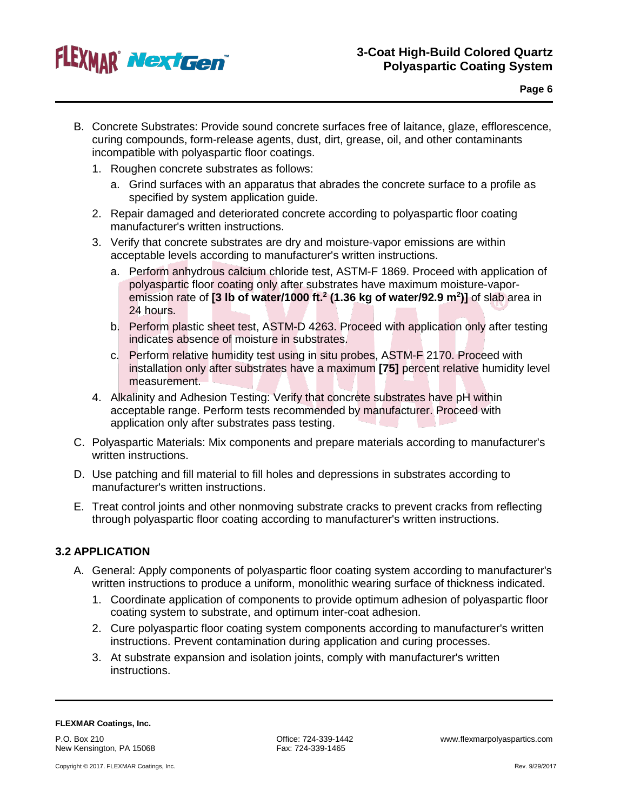

- B. Concrete Substrates: Provide sound concrete surfaces free of laitance, glaze, efflorescence, curing compounds, form-release agents, dust, dirt, grease, oil, and other contaminants incompatible with polyaspartic floor coatings.
	- 1. Roughen concrete substrates as follows:
		- a. Grind surfaces with an apparatus that abrades the concrete surface to a profile as specified by system application guide.
	- 2. Repair damaged and deteriorated concrete according to polyaspartic floor coating manufacturer's written instructions.
	- 3. Verify that concrete substrates are dry and moisture-vapor emissions are within acceptable levels according to manufacturer's written instructions.
		- a. Perform anhydrous calcium chloride test, ASTM-F 1869. Proceed with application of polyaspartic floor coating only after substrates have maximum moisture-vaporemission rate of **[3 lb of water/1000 ft.2 (1.36 kg of water/92.9 m2 )]** of slab area in 24 hours.
		- b. Perform plastic sheet test, ASTM-D 4263. Proceed with application only after testing indicates absence of moisture in substrates.
		- c. Perform relative humidity test using in situ probes, ASTM-F 2170. Proceed with installation only after substrates have a maximum **[75]** percent relative humidity level measurement.
	- 4. Alkalinity and Adhesion Testing: Verify that concrete substrates have pH within acceptable range. Perform tests recommended by manufacturer. Proceed with application only after substrates pass testing.
- C. Polyaspartic Materials: Mix components and prepare materials according to manufacturer's written instructions.
- D. Use patching and fill material to fill holes and depressions in substrates according to manufacturer's written instructions.
- E. Treat control joints and other nonmoving substrate cracks to prevent cracks from reflecting through polyaspartic floor coating according to manufacturer's written instructions.

## **3.2 APPLICATION**

- A. General: Apply components of polyaspartic floor coating system according to manufacturer's written instructions to produce a uniform, monolithic wearing surface of thickness indicated.
	- 1. Coordinate application of components to provide optimum adhesion of polyaspartic floor coating system to substrate, and optimum inter-coat adhesion.
	- 2. Cure polyaspartic floor coating system components according to manufacturer's written instructions. Prevent contamination during application and curing processes.
	- 3. At substrate expansion and isolation joints, comply with manufacturer's written instructions.

#### **FLEXMAR Coatings, Inc.**

P.O. Box 210 New Kensington, PA 15068

Copyright © 2017. FLEXMAR Coatings, Inc.

Fax: 724-339-1465